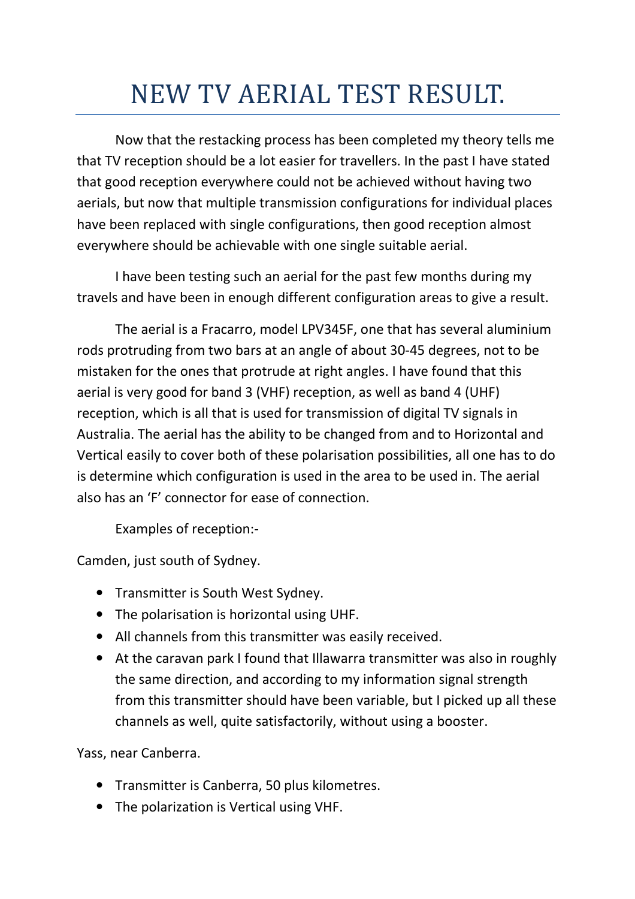## NEW TV AERIAL TEST RESULT.

 Now that the restacking process has been completed my theory tells me that TV reception should be a lot easier for travellers. In the past I have stated that good reception everywhere could not be achieved without having two aerials, but now that multiple transmission configurations for individual places have been replaced with single configurations, then good reception almost everywhere should be achievable with one single suitable aerial.

 I have been testing such an aerial for the past few months during my travels and have been in enough different configuration areas to give a result.

 The aerial is a Fracarro, model LPV345F, one that has several aluminium rods protruding from two bars at an angle of about 30-45 degrees, not to be mistaken for the ones that protrude at right angles. I have found that this aerial is very good for band 3 (VHF) reception, as well as band 4 (UHF) reception, which is all that is used for transmission of digital TV signals in Australia. The aerial has the ability to be changed from and to Horizontal and Vertical easily to cover both of these polarisation possibilities, all one has to do is determine which configuration is used in the area to be used in. The aerial also has an 'F' connector for ease of connection.

Examples of reception:-

Camden, just south of Sydney.

- Transmitter is South West Sydney.
- The polarisation is horizontal using UHF.
- All channels from this transmitter was easily received.
- At the caravan park I found that Illawarra transmitter was also in roughly the same direction, and according to my information signal strength from this transmitter should have been variable, but I picked up all these channels as well, quite satisfactorily, without using a booster.

Yass, near Canberra.

- Transmitter is Canberra, 50 plus kilometres.
- The polarization is Vertical using VHF.